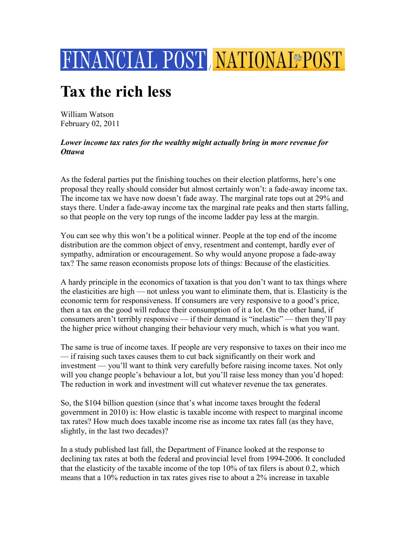

## **Tax the rich less**

William Watson February 02, 2011

## *Lower income tax rates for the wealthy might actually bring in more revenue for Ottawa*

As the federal parties put the finishing touches on their election platforms, here's one proposal they really should consider but almost certainly won't: a fade-away income tax. The income tax we have now doesn't fade away. The marginal rate tops out at 29% and stays there. Under a fade-away income tax the marginal rate peaks and then starts falling, so that people on the very top rungs of the income ladder pay less at the margin.

You can see why this won't be a political winner. People at the top end of the income distribution are the common object of envy, resentment and contempt, hardly ever of sympathy, admiration or encouragement. So why would anyone propose a fade-away tax? The same reason economists propose lots of things: Because of the elasticities.

A hardy principle in the economics of taxation is that you don't want to tax things where the elasticities are high — not unless you want to eliminate them, that is. Elasticity is the economic term for responsiveness. If consumers are very responsive to a good's price, then a tax on the good will reduce their consumption of it a lot. On the other hand, if consumers aren't terribly responsive — if their demand is "inelastic" — then they'll pay the higher price without changing their behaviour very much, which is what you want.

The same is true of income taxes. If people are very responsive to taxes on their inco me — if raising such taxes causes them to cut back significantly on their work and investment — you'll want to think very carefully before raising income taxes. Not only will you change people's behaviour a lot, but you'll raise less money than you'd hoped: The reduction in work and investment will cut whatever revenue the tax generates.

So, the \$104 billion question (since that's what income taxes brought the federal government in 2010) is: How elastic is taxable income with respect to marginal income tax rates? How much does taxable income rise as income tax rates fall (as they have, slightly, in the last two decades)?

In a study published last fall, the Department of Finance looked at the response to declining tax rates at both the federal and provincial level from 1994-2006. It concluded that the elasticity of the taxable income of the top 10% of tax filers is about 0.2, which means that a 10% reduction in tax rates gives rise to about a 2% increase in taxable